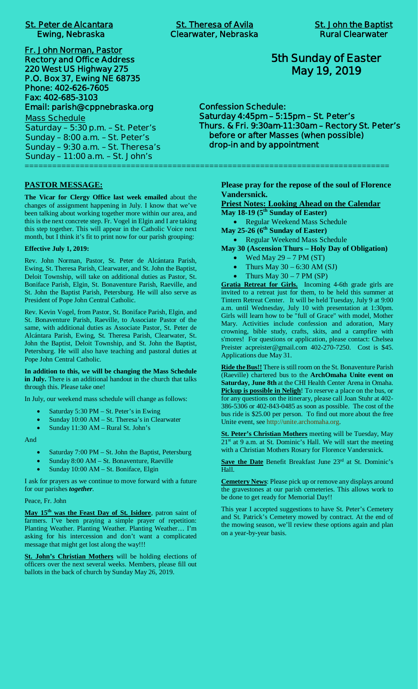|  | <b>St. Peter de Alcantara</b> |
|--|-------------------------------|
|  | <b>Ewing, Nebraska</b>        |

**Fr. John Norman, Pastor Rectory and Office Address 220 West US Highway 275 P.O. Box 37, Ewing NE 68735 Phone: 402-626-7605 Fax: 402-685-3103 Email: parish@cppnebraska.org**

**Mass Schedule Saturday – 5:30 p.m. – St. Peter's Sunday – 8:00 a.m. – St. Peter's Sunday – 9:30 a.m. – St. Theresa's Sunday – 11:00 a.m. – St. John's** ===============================================================================

**PASTOR MESSAGE:**

**The Vicar for Clergy Office last week emailed** about the changes of assignment happening in July. I know that we've been talking about working together more within our area, and this is the next concrete step. Fr. Vogel in Elgin and I are taking this step together. This will appear in the Catholic Voice next month, but I think it's fit to print now for our parish grouping:

#### **Effective July 1, 2019:**

Rev. John Norman, Pastor, St. Peter de Alcántara Parish, Ewing, St. Theresa Parish, Clearwater, and St. John the Baptist, Deloit Township, will take on additional duties as Pastor, St. Boniface Parish, Elgin, St. Bonaventure Parish, Raeville, and St. John the Baptist Parish, Petersburg. He will also serve as President of Pope John Central Catholic.

Rev. Kevin Vogel, from Pastor, St. Boniface Parish, Elgin, and St. Bonaventure Parish, Raeville, to Associate Pastor of the same, with additional duties as Associate Pastor, St. Peter de Alcántara Parish, Ewing, St. Theresa Parish, Clearwater, St. John the Baptist, Deloit Township, and St. John the Baptist, Petersburg. He will also have teaching and pastoral duties at Pope John Central Catholic.

**In addition to this, we will be changing the Mass Schedule in July.** There is an additional handout in the church that talks through this. Please take one!

In July, our weekend mass schedule will change as follows:

- Saturday 5:30 PM St. Peter's in Ewing
- Sunday 10:00 AM St. Theresa's in Clearwater
- Sunday 11:30 AM Rural St. John's

And

- Saturday 7:00 PM St. John the Baptist, Petersburg
- Sunday 8:00 AM St. Bonaventure, Raeville
- Sunday 10:00 AM St. Boniface, Elgin

I ask for prayers as we continue to move forward with a future for our parishes *together*.

Peace, Fr. John

**May 15th was the Feast Day of St. Isidore**, patron saint of farmers. I've been praying a simple prayer of repetition: Planting Weather. Planting Weather. Planting Weather… I'm asking for his intercession and don't want a complicated message that might get lost along the way!!!

**St. John's Christian Mothers** will be holding elections of officers over the next several weeks. Members, please fill out ballots in the back of church by Sunday May 26, 2019.

# **5th Sunday of Easter May 19, 2019**

**Confession Schedule: Saturday 4:45pm – 5:15pm – St. Peter's Thurs. & Fri. 9:30am-11:30am – Rectory St. Peter's before or after Masses (when possible) drop-in and by appointment**

> **Please pray for the repose of the soul of Florence Vandersnick.**

**Priest Notes: Looking Ahead on the Calendar**

**May 18-19 (5th Sunday of Easter)**

· Regular Weekend Mass Schedule **May 25-26 (6th Sunday of Easter)**

· Regular Weekend Mass Schedule

**May 30 (Ascension Thurs – Holy Day of Obligation)**

- · Wed May 29 7 PM (ST)
- Thurs May  $30 6:30$  AM  $(SJ)$
- Thurs  $\overline{May}$  30 7 PM (SP)

**Gratia Retreat for Girls.** Incoming 4-6th grade girls are invited to a retreat just for them, to be held this summer at Tintern Retreat Center. It will be held Tuesday, July 9 at 9:00 a.m. until Wednesday, July 10 with presentation at 1:30pm. Girls will learn how to be "full of Grace" with model, Mother Mary. Activities include confession and adoration, Mary crowning, bible study, crafts, skits, and a campfire with s'mores! For questions or application, please contact: Chelsea Preister acpreister@gmail.com 402-270-7250. Cost is \$45. Applications due May 31.

**Ride the Bus!!** There is still room on the St. Bonaventure Parish (Raeville) chartered bus to the **ArchOmaha Unite event on Saturday, June 8th** at the CHI Health Center Arena in Omaha. **Pickup is possible in Neligh**! To reserve a place on the bus, or for any questions on the itinerary, please call Joan Stuhr at 402- 386-5306 or 402-843-0485 as soon as possible. The cost of the bus ride is \$25.00 per person. To find out more about the free Unite event, see http://unite.archomaha.org.

**St. Peter's Christian Mothers** meeting will be Tuesday, May 21<sup>st</sup> at 9 a.m. at St. Dominic's Hall. We will start the meeting with a Christian Mothers Rosary for Florence Vandersnick.

Save the Date Benefit Breakfast June 23<sup>rd</sup> at St. Dominic's Hall.

**Cemetery News**: Please pick up or remove any displays around the gravestones at our parish cemeteries. This allows work to be done to get ready for Memorial Day!!

This year I accepted suggestions to have St. Peter's Cemetery and St. Patrick's Cemetery mowed by contract. At the end of the mowing season, we'll review these options again and plan on a year-by-year basis.